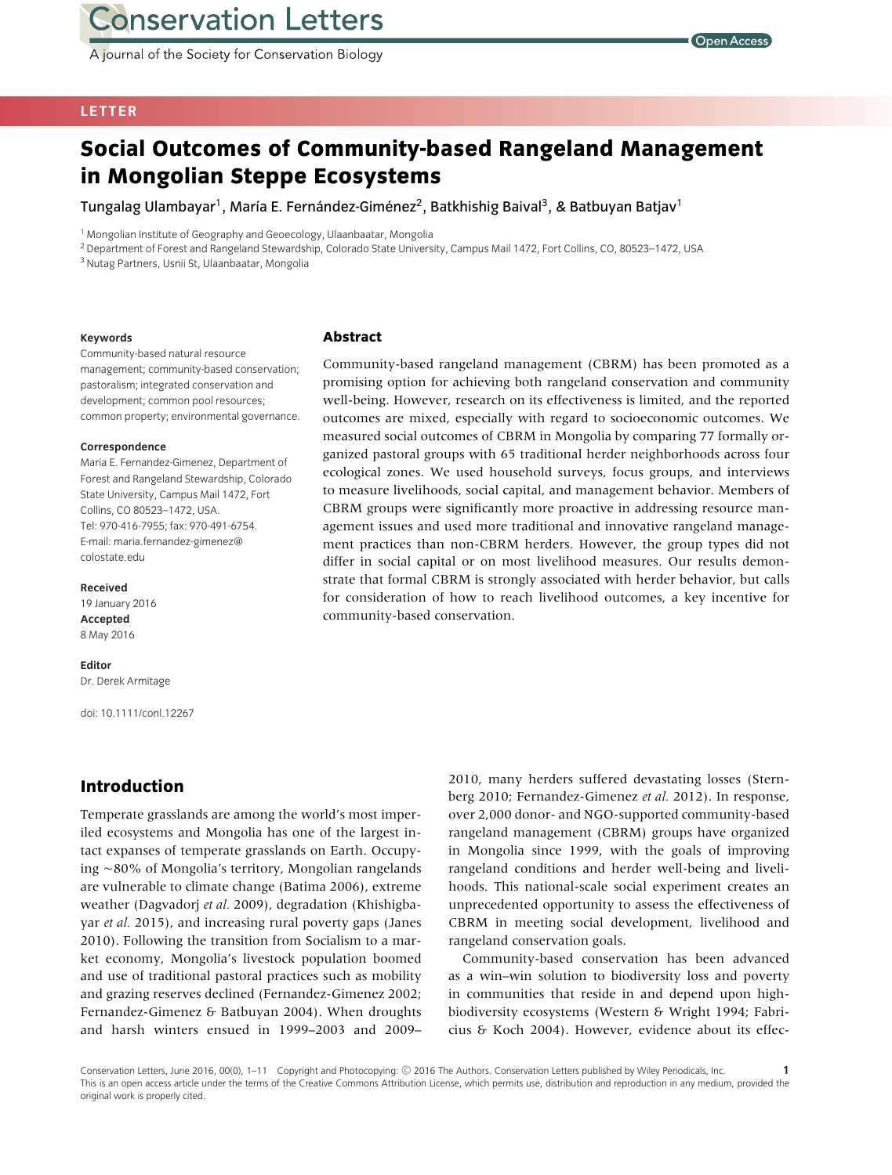A journal of the Society for Conservation Biology



#### **LETTER**

## **Social Outcomes of Community-based Rangeland Management in Mongolian Steppe Ecosystems**

Tungalag Ulambayar<sup>1</sup>, María E. Fernández-Giménez<sup>2</sup>, Batkhishig Baival<sup>3</sup>, & Batbuyan Batjav<sup>1</sup>

**Abstract**

<sup>1</sup> Mongolian Institute of Geography and Geoecology, Ulaanbaatar, Mongolia

<sup>2</sup> Department of Forest and Rangeland Stewardship, Colorado State University, Campus Mail 1472, Fort Collins, CO, 80523-1472, USA

<sup>3</sup> Nutag Partners, Usnii St, Ulaanbaatar, Mongolia

#### **Keywords**

# Community-based natural resource

management; community-based conservation; pastoralism; integrated conservation and development; common pool resources; common property; environmental governance.

#### **Correspondence**

Maria E. Fernandez-Gimenez, Department of Forest and Rangeland Stewardship, Colorado State University, Campus Mail 1472, Fort Collins, CO 80523–1472, USA. Tel: 970-416-7955; fax: 970-491-6754. E-mail: maria.fernandez-gimenez@ colostate.edu

#### **Received**

19 January 2016 **Accepted** 8 May 2016

#### **Editor**

Dr. Derek Armitage

doi: 10.1111/conl.12267

### **Introduction**

Temperate grasslands are among the world's most imperiled ecosystems and Mongolia has one of the largest intact expanses of temperate grasslands on Earth. Occupying -80% of Mongolia's territory, Mongolian rangelands are vulnerable to climate change (Batima 2006), extreme weather (Dagvadorj *et al.* 2009), degradation (Khishigbayar *et al.* 2015), and increasing rural poverty gaps (Janes 2010). Following the transition from Socialism to a market economy, Mongolia's livestock population boomed and use of traditional pastoral practices such as mobility and grazing reserves declined (Fernandez-Gimenez 2002; Fernandez-Gimenez & Batbuyan 2004). When droughts and harsh winters ensued in 1999–2003 and 2009–

Community-based rangeland management (CBRM) has been promoted as a promising option for achieving both rangeland conservation and community well-being. However, research on its effectiveness is limited, and the reported outcomes are mixed, especially with regard to socioeconomic outcomes. We measured social outcomes of CBRM in Mongolia by comparing 77 formally organized pastoral groups with 65 traditional herder neighborhoods across four ecological zones. We used household surveys, focus groups, and interviews to measure livelihoods, social capital, and management behavior. Members of CBRM groups were significantly more proactive in addressing resource management issues and used more traditional and innovative rangeland management practices than non-CBRM herders. However, the group types did not differ in social capital or on most livelihood measures. Our results demonstrate that formal CBRM is strongly associated with herder behavior, but calls for consideration of how to reach livelihood outcomes, a key incentive for community-based conservation.

> 2010, many herders suffered devastating losses (Sternberg 2010; Fernandez-Gimenez *et al.* 2012). In response, over 2,000 donor- and NGO-supported community-based rangeland management (CBRM) groups have organized in Mongolia since 1999, with the goals of improving rangeland conditions and herder well-being and livelihoods. This national-scale social experiment creates an unprecedented opportunity to assess the effectiveness of CBRM in meeting social development, livelihood and rangeland conservation goals.

> Community-based conservation has been advanced as a win–win solution to biodiversity loss and poverty in communities that reside in and depend upon highbiodiversity ecosystems (Western & Wright 1994; Fabricius & Koch 2004). However, evidence about its effec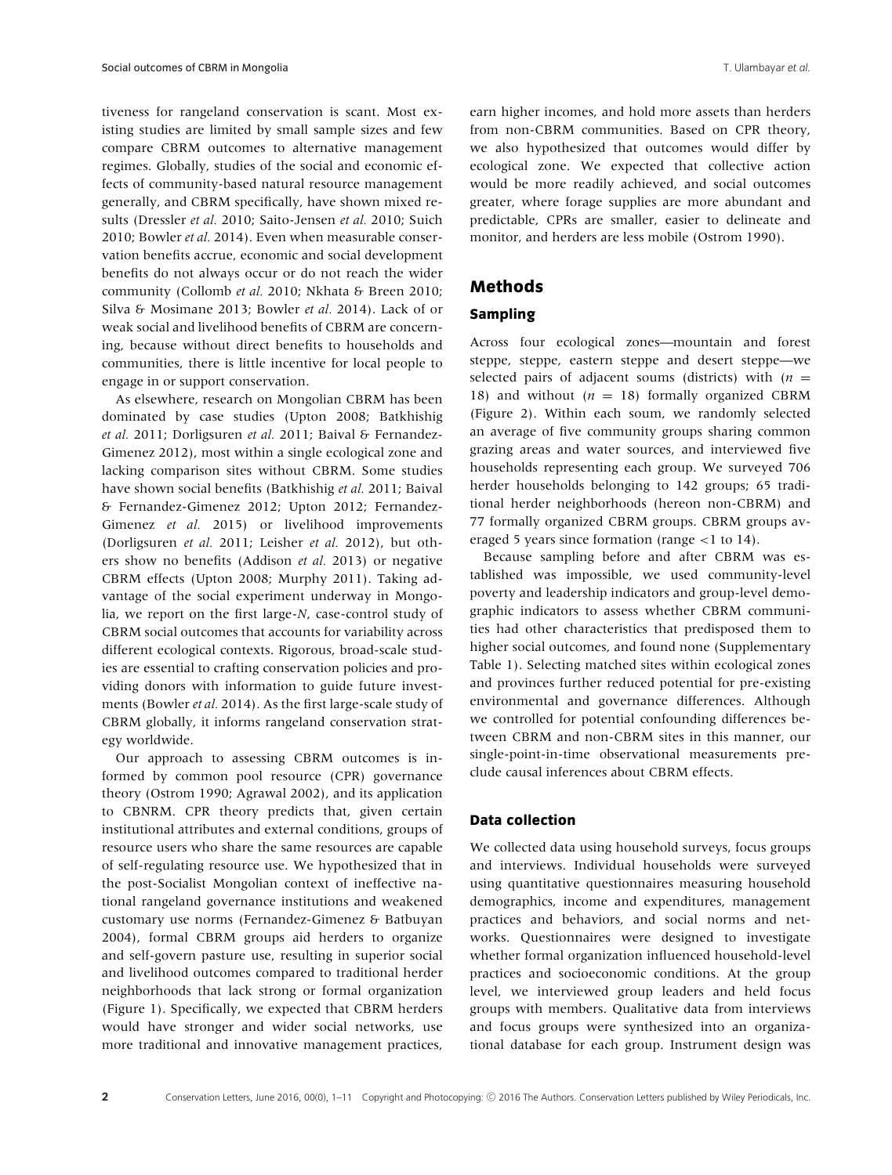tiveness for rangeland conservation is scant. Most existing studies are limited by small sample sizes and few compare CBRM outcomes to alternative management regimes. Globally, studies of the social and economic effects of community-based natural resource management generally, and CBRM specifically, have shown mixed results (Dressler *et al.* 2010; Saito-Jensen *et al.* 2010; Suich 2010; Bowler *et al.* 2014). Even when measurable conservation benefits accrue, economic and social development benefits do not always occur or do not reach the wider community (Collomb *et al.* 2010; Nkhata & Breen 2010; Silva & Mosimane 2013; Bowler *et al.* 2014). Lack of or weak social and livelihood benefits of CBRM are concerning, because without direct benefits to households and communities, there is little incentive for local people to engage in or support conservation.

As elsewhere, research on Mongolian CBRM has been dominated by case studies (Upton 2008; Batkhishig *et al.* 2011; Dorligsuren *et al.* 2011; Baival & Fernandez-Gimenez 2012), most within a single ecological zone and lacking comparison sites without CBRM. Some studies have shown social benefits (Batkhishig *et al.* 2011; Baival & Fernandez-Gimenez 2012; Upton 2012; Fernandez-Gimenez *et al.* 2015) or livelihood improvements (Dorligsuren *et al.* 2011; Leisher *et al.* 2012), but others show no benefits (Addison *et al.* 2013) or negative CBRM effects (Upton 2008; Murphy 2011). Taking advantage of the social experiment underway in Mongolia, we report on the first large-*N*, case-control study of CBRM social outcomes that accounts for variability across different ecological contexts. Rigorous, broad-scale studies are essential to crafting conservation policies and providing donors with information to guide future investments (Bowler *et al.* 2014). As the first large-scale study of CBRM globally, it informs rangeland conservation strategy worldwide.

Our approach to assessing CBRM outcomes is informed by common pool resource (CPR) governance theory (Ostrom 1990; Agrawal 2002), and its application to CBNRM. CPR theory predicts that, given certain institutional attributes and external conditions, groups of resource users who share the same resources are capable of self-regulating resource use. We hypothesized that in the post-Socialist Mongolian context of ineffective national rangeland governance institutions and weakened customary use norms (Fernandez-Gimenez & Batbuyan 2004), formal CBRM groups aid herders to organize and self-govern pasture use, resulting in superior social and livelihood outcomes compared to traditional herder neighborhoods that lack strong or formal organization (Figure 1). Specifically, we expected that CBRM herders would have stronger and wider social networks, use more traditional and innovative management practices, earn higher incomes, and hold more assets than herders from non-CBRM communities. Based on CPR theory, we also hypothesized that outcomes would differ by ecological zone. We expected that collective action would be more readily achieved, and social outcomes greater, where forage supplies are more abundant and predictable, CPRs are smaller, easier to delineate and monitor, and herders are less mobile (Ostrom 1990).

#### **Methods**

#### **Sampling**

Across four ecological zones—mountain and forest steppe, steppe, eastern steppe and desert steppe—we selected pairs of adjacent soums (districts) with  $(n =$ 18) and without  $(n = 18)$  formally organized CBRM (Figure 2). Within each soum, we randomly selected an average of five community groups sharing common grazing areas and water sources, and interviewed five households representing each group. We surveyed 706 herder households belonging to 142 groups; 65 traditional herder neighborhoods (hereon non-CBRM) and 77 formally organized CBRM groups. CBRM groups averaged 5 years since formation (range *<*1 to 14).

Because sampling before and after CBRM was established was impossible, we used community-level poverty and leadership indicators and group-level demographic indicators to assess whether CBRM communities had other characteristics that predisposed them to higher social outcomes, and found none (Supplementary Table 1). Selecting matched sites within ecological zones and provinces further reduced potential for pre-existing environmental and governance differences. Although we controlled for potential confounding differences between CBRM and non-CBRM sites in this manner, our single-point-in-time observational measurements preclude causal inferences about CBRM effects.

#### **Data collection**

We collected data using household surveys, focus groups and interviews. Individual households were surveyed using quantitative questionnaires measuring household demographics, income and expenditures, management practices and behaviors, and social norms and networks. Questionnaires were designed to investigate whether formal organization influenced household-level practices and socioeconomic conditions. At the group level, we interviewed group leaders and held focus groups with members. Qualitative data from interviews and focus groups were synthesized into an organizational database for each group. Instrument design was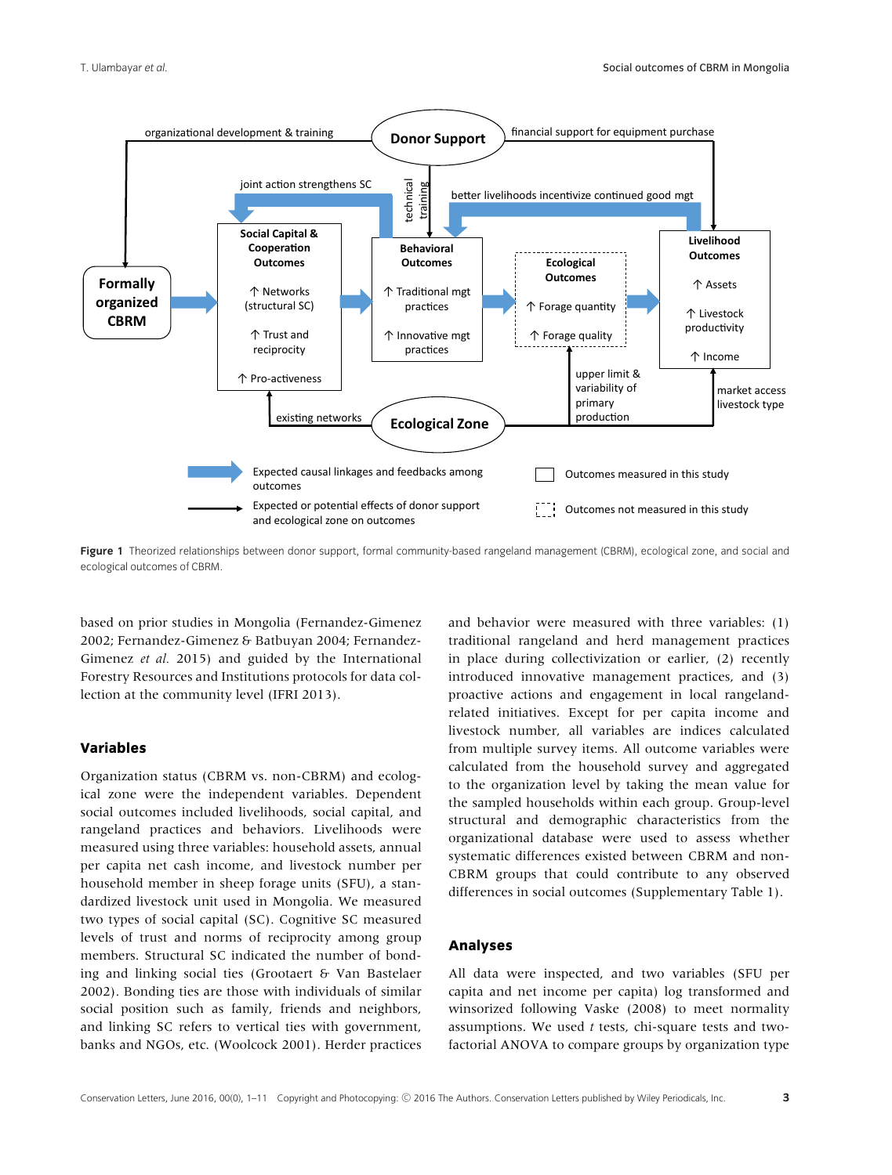

Figure 1 Theorized relationships between donor support, formal community-based rangeland management (CBRM), ecological zone, and social and ecological outcomes of CBRM.

based on prior studies in Mongolia (Fernandez-Gimenez 2002; Fernandez-Gimenez & Batbuyan 2004; Fernandez-Gimenez *et al.* 2015) and guided by the International Forestry Resources and Institutions protocols for data collection at the community level (IFRI 2013).

#### **Variables**

Organization status (CBRM vs. non-CBRM) and ecological zone were the independent variables. Dependent social outcomes included livelihoods, social capital, and rangeland practices and behaviors. Livelihoods were measured using three variables: household assets, annual per capita net cash income, and livestock number per household member in sheep forage units (SFU), a standardized livestock unit used in Mongolia. We measured two types of social capital (SC). Cognitive SC measured levels of trust and norms of reciprocity among group members. Structural SC indicated the number of bonding and linking social ties (Grootaert & Van Bastelaer 2002). Bonding ties are those with individuals of similar social position such as family, friends and neighbors, and linking SC refers to vertical ties with government, banks and NGOs, etc. (Woolcock 2001). Herder practices

and behavior were measured with three variables: (1) traditional rangeland and herd management practices in place during collectivization or earlier, (2) recently introduced innovative management practices, and (3) proactive actions and engagement in local rangelandrelated initiatives. Except for per capita income and livestock number, all variables are indices calculated from multiple survey items. All outcome variables were calculated from the household survey and aggregated to the organization level by taking the mean value for the sampled households within each group. Group-level structural and demographic characteristics from the organizational database were used to assess whether systematic differences existed between CBRM and non-CBRM groups that could contribute to any observed differences in social outcomes (Supplementary Table 1).

#### **Analyses**

All data were inspected, and two variables (SFU per capita and net income per capita) log transformed and winsorized following Vaske (2008) to meet normality assumptions. We used *t* tests, chi-square tests and twofactorial ANOVA to compare groups by organization type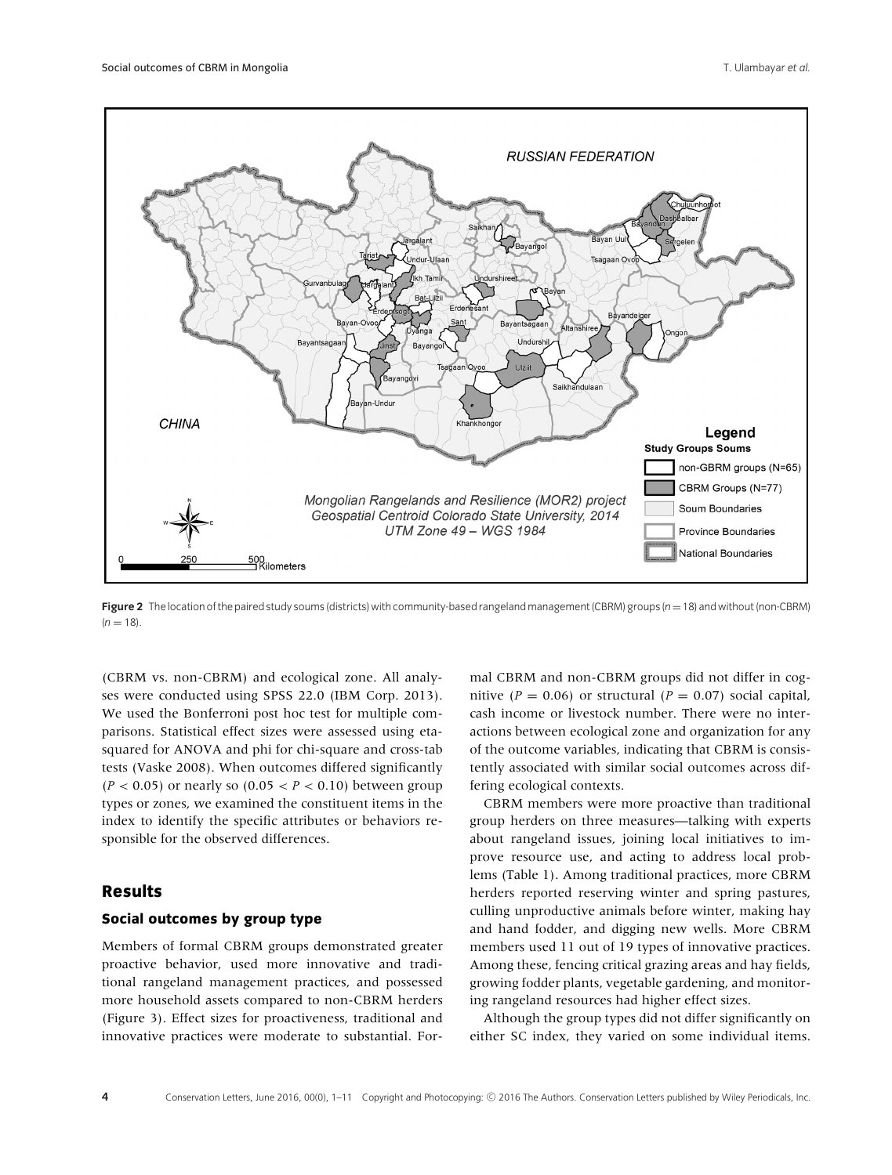

**Figure 2** The location of the paired study soums (districts) with community-based rangelandmanagement (CBRM) groups (*n*=18) and without (non-CBRM)  $(n = 18)$ .

(CBRM vs. non-CBRM) and ecological zone. All analyses were conducted using SPSS 22.0 (IBM Corp. 2013). We used the Bonferroni post hoc test for multiple comparisons. Statistical effect sizes were assessed using etasquared for ANOVA and phi for chi-square and cross-tab tests (Vaske 2008). When outcomes differed significantly  $(P < 0.05)$  or nearly so  $(0.05 < P < 0.10)$  between group types or zones, we examined the constituent items in the index to identify the specific attributes or behaviors responsible for the observed differences.

#### **Results**

#### **Social outcomes by group type**

Members of formal CBRM groups demonstrated greater proactive behavior, used more innovative and traditional rangeland management practices, and possessed more household assets compared to non-CBRM herders (Figure 3). Effect sizes for proactiveness, traditional and innovative practices were moderate to substantial. Formal CBRM and non-CBRM groups did not differ in cognitive ( $P = 0.06$ ) or structural ( $P = 0.07$ ) social capital, cash income or livestock number. There were no interactions between ecological zone and organization for any of the outcome variables, indicating that CBRM is consistently associated with similar social outcomes across differing ecological contexts.

CBRM members were more proactive than traditional group herders on three measures—talking with experts about rangeland issues, joining local initiatives to improve resource use, and acting to address local problems (Table 1). Among traditional practices, more CBRM herders reported reserving winter and spring pastures, culling unproductive animals before winter, making hay and hand fodder, and digging new wells. More CBRM members used 11 out of 19 types of innovative practices. Among these, fencing critical grazing areas and hay fields, growing fodder plants, vegetable gardening, and monitoring rangeland resources had higher effect sizes.

Although the group types did not differ significantly on either SC index, they varied on some individual items.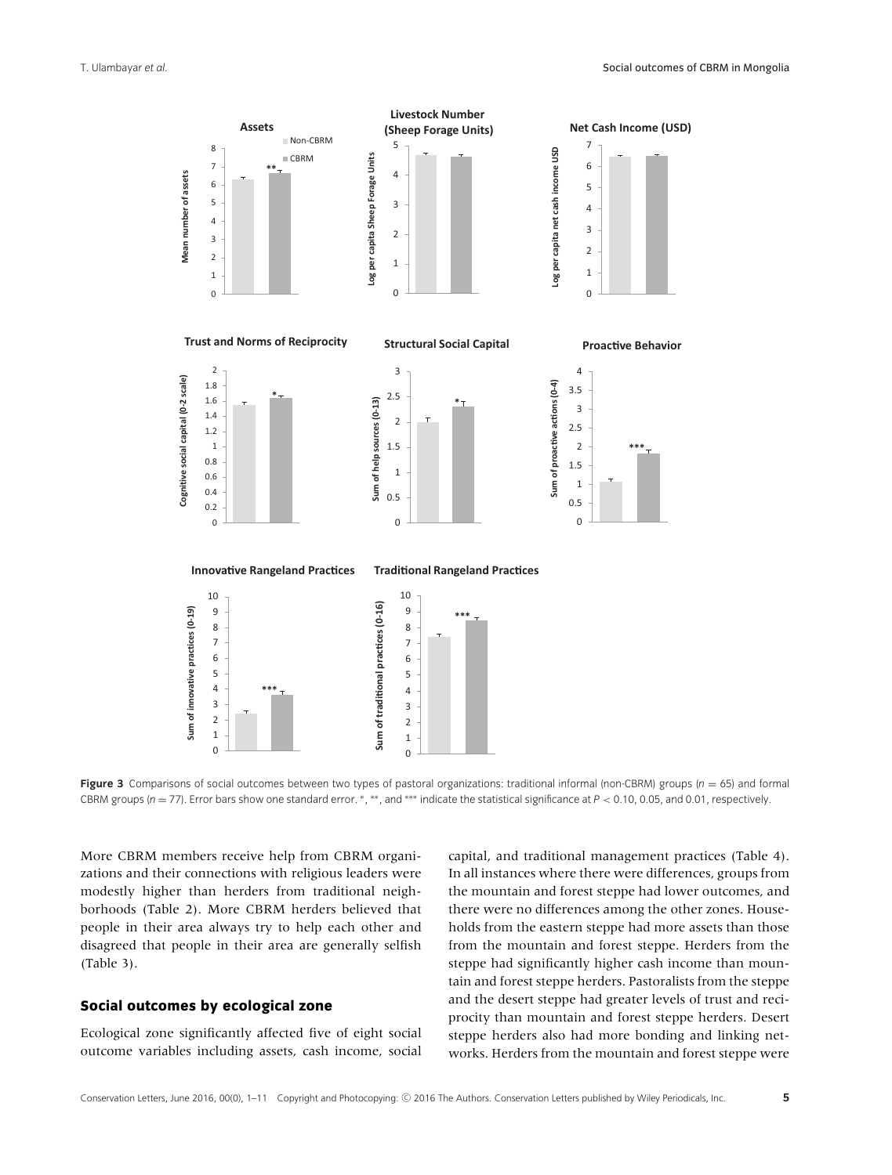

**Figure 3** Comparisons of social outcomes between two types of pastoral organizations: traditional informal (non-CBRM) groups (*n* = 65) and formal CBRM groups (*n* = 77). Error bars show one standard error. <sup>∗</sup>, ∗∗, and ∗∗∗ indicate the statistical significance at *P <* 0.10, 0.05, and 0.01, respectively.

More CBRM members receive help from CBRM organizations and their connections with religious leaders were modestly higher than herders from traditional neighborhoods (Table 2). More CBRM herders believed that people in their area always try to help each other and disagreed that people in their area are generally selfish (Table 3).

#### **Social outcomes by ecological zone**

Ecological zone significantly affected five of eight social outcome variables including assets, cash income, social

capital, and traditional management practices (Table 4). In all instances where there were differences, groups from the mountain and forest steppe had lower outcomes, and there were no differences among the other zones. Households from the eastern steppe had more assets than those from the mountain and forest steppe. Herders from the steppe had significantly higher cash income than mountain and forest steppe herders. Pastoralists from the steppe and the desert steppe had greater levels of trust and reciprocity than mountain and forest steppe herders. Desert steppe herders also had more bonding and linking networks. Herders from the mountain and forest steppe were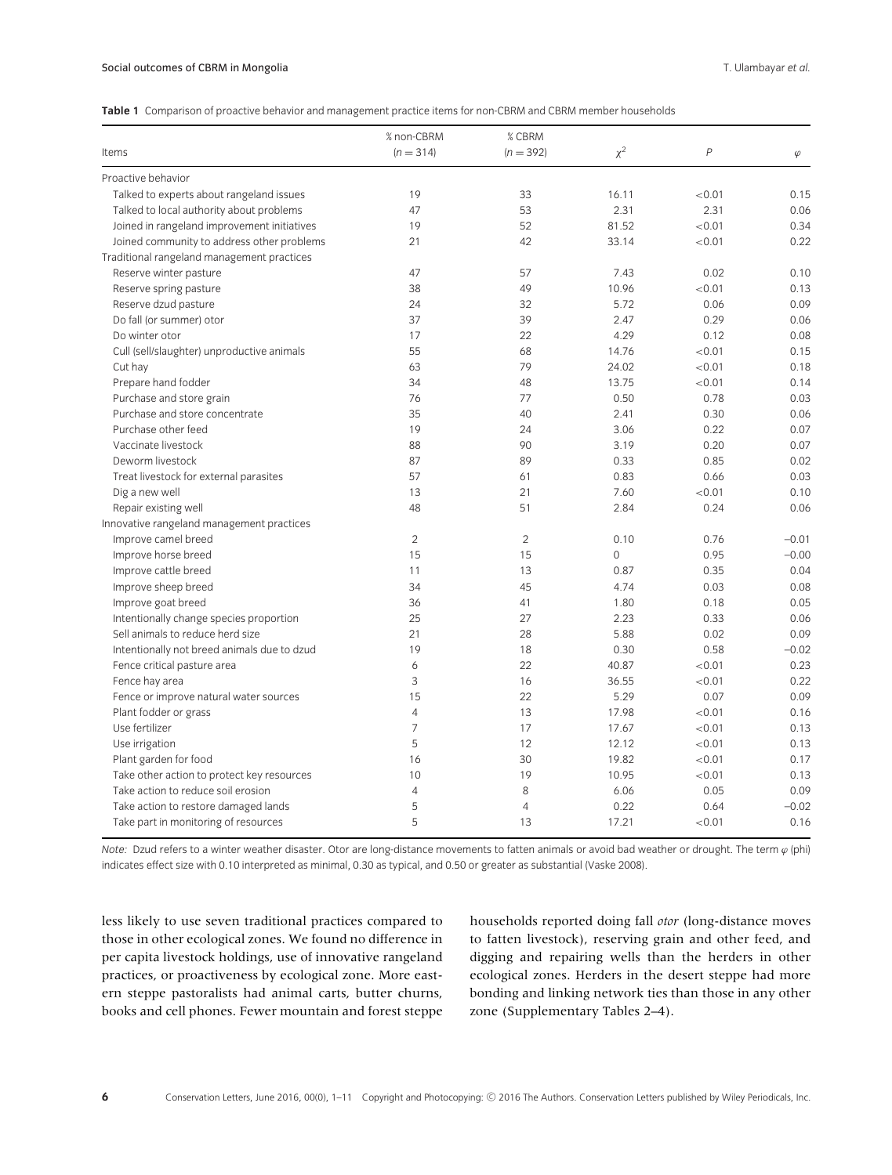#### Social outcomes of CBRM in Mongolia T. Ulambayar *et al.*

|                                             | % non-CBRM     | % CBRM         |              |        |           |
|---------------------------------------------|----------------|----------------|--------------|--------|-----------|
| Items                                       | $(n = 314)$    | $(n = 392)$    | $\chi^2$     | P      | $\varphi$ |
| Proactive behavior                          |                |                |              |        |           |
| Talked to experts about rangeland issues    | 19             | 33             | 16.11        | < 0.01 | 0.15      |
| Talked to local authority about problems    | 47             | 53             | 2.31         | 2.31   | 0.06      |
| Joined in rangeland improvement initiatives | 19             | 52             | 81.52        | < 0.01 | 0.34      |
| Joined community to address other problems  | 21             | 42             | 33.14        | < 0.01 | 0.22      |
| Traditional rangeland management practices  |                |                |              |        |           |
| Reserve winter pasture                      | 47             | 57             | 7.43         | 0.02   | 0.10      |
| Reserve spring pasture                      | 38             | 49             | 10.96        | < 0.01 | 0.13      |
| Reserve dzud pasture                        | 24             | 32             | 5.72         | 0.06   | 0.09      |
| Do fall (or summer) otor                    | 37             | 39             | 2.47         | 0.29   | 0.06      |
| Do winter otor                              | 17             | 22             | 4.29         | 0.12   | 0.08      |
| Cull (sell/slaughter) unproductive animals  | 55             | 68             | 14.76        | < 0.01 | 0.15      |
| Cut hay                                     | 63             | 79             | 24.02        | < 0.01 | 0.18      |
| Prepare hand fodder                         | 34             | 48             | 13.75        | < 0.01 | 0.14      |
| Purchase and store grain                    | 76             | 77             | 0.50         | 0.78   | 0.03      |
| Purchase and store concentrate              | 35             | 40             | 2.41         | 0.30   | 0.06      |
| Purchase other feed                         | 19             | 24             | 3.06         | 0.22   | 0.07      |
| Vaccinate livestock                         | 88             | 90             | 3.19         | 0.20   | 0.07      |
| Deworm livestock                            | 87             | 89             | 0.33         | 0.85   | 0.02      |
| Treat livestock for external parasites      | 57             | 61             | 0.83         | 0.66   | 0.03      |
| Dig a new well                              | 13             | 21             | 7.60         | < 0.01 | 0.10      |
| Repair existing well                        | 48             | 51             | 2.84         | 0.24   | 0.06      |
| Innovative rangeland management practices   |                |                |              |        |           |
| Improve camel breed                         | $\overline{2}$ | 2              | 0.10         | 0.76   | $-0.01$   |
| Improve horse breed                         | 15             | 15             | $\mathbf{O}$ | 0.95   | $-0.00$   |
| Improve cattle breed                        | 11             | 13             | 0.87         | 0.35   | 0.04      |
| Improve sheep breed                         | 34             | 45             | 4.74         | 0.03   | 0.08      |
| Improve goat breed                          | 36             | 41             | 1.80         | 0.18   | 0.05      |
| Intentionally change species proportion     | 25             | 27             | 2.23         | 0.33   | 0.06      |
| Sell animals to reduce herd size            | 21             | 28             | 5.88         | 0.02   | 0.09      |
| Intentionally not breed animals due to dzud | 19             | 18             | 0.30         | 0.58   | $-0.02$   |
| Fence critical pasture area                 | 6              | 22             | 40.87        | < 0.01 | 0.23      |
| Fence hay area                              | 3              | 16             | 36.55        | < 0.01 | 0.22      |
| Fence or improve natural water sources      | 15             | 22             | 5.29         | 0.07   | 0.09      |
| Plant fodder or grass                       | $\overline{4}$ | 13             | 17.98        | < 0.01 | 0.16      |
| Use fertilizer                              | 7              | 17             | 17.67        | < 0.01 | 0.13      |
| Use irrigation                              | 5              | 12             | 12.12        | < 0.01 | 0.13      |
| Plant garden for food                       | 16             | 30             | 19.82        | < 0.01 | 0.17      |
| Take other action to protect key resources  | 10             | 19             | 10.95        | < 0.01 | 0.13      |
| Take action to reduce soil erosion          | $\overline{4}$ | 8              | 6.06         | 0.05   | 0.09      |
| Take action to restore damaged lands        | 5              | $\overline{4}$ | 0.22         | 0.64   | $-0.02$   |
| Take part in monitoring of resources        | 5              | 13             | 17.21        | < 0.01 | 0.16      |

*Note:* Dzud refers to a winter weather disaster. Otor are long-distance movements to fatten animals or avoid bad weather or drought. The term *ϕ* (phi) indicates effect size with 0.10 interpreted as minimal, 0.30 as typical, and 0.50 or greater as substantial (Vaske 2008).

less likely to use seven traditional practices compared to those in other ecological zones. We found no difference in per capita livestock holdings, use of innovative rangeland practices, or proactiveness by ecological zone. More eastern steppe pastoralists had animal carts, butter churns, books and cell phones. Fewer mountain and forest steppe households reported doing fall *otor* (long-distance moves to fatten livestock), reserving grain and other feed, and digging and repairing wells than the herders in other ecological zones. Herders in the desert steppe had more bonding and linking network ties than those in any other zone (Supplementary Tables 2–4).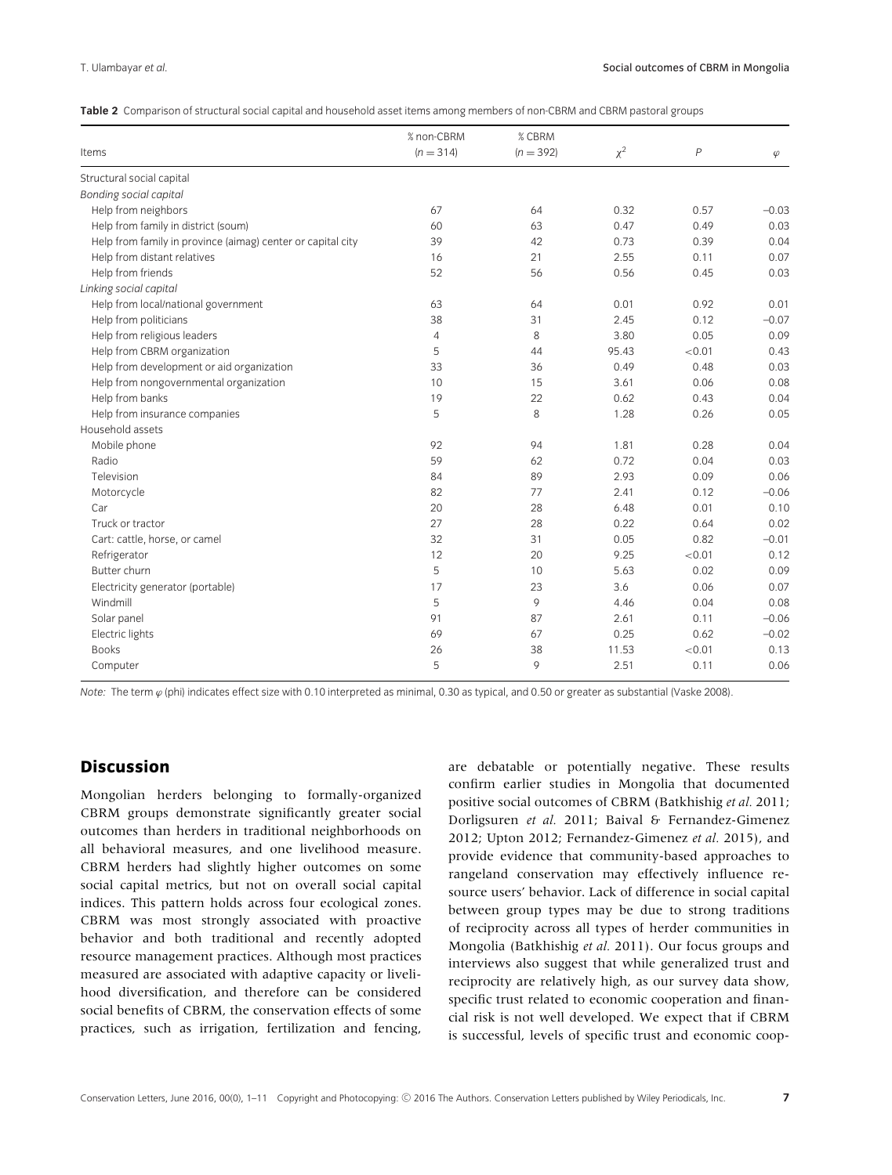|  |  | Table 2 Comparison of structural social capital and household asset items among members of non-CBRM and CBRM pastoral groups |  |
|--|--|------------------------------------------------------------------------------------------------------------------------------|--|
|--|--|------------------------------------------------------------------------------------------------------------------------------|--|

|                                                             | % non-CBRM     | % CBRM      |          |        |           |
|-------------------------------------------------------------|----------------|-------------|----------|--------|-----------|
| Items                                                       | $(n = 314)$    | $(n = 392)$ | $\chi^2$ | P      | $\varphi$ |
| Structural social capital                                   |                |             |          |        |           |
| Bonding social capital                                      |                |             |          |        |           |
| Help from neighbors                                         | 67             | 64          | 0.32     | 0.57   | $-0.03$   |
| Help from family in district (soum)                         | 60             | 63          | 0.47     | 0.49   | 0.03      |
| Help from family in province (aimag) center or capital city | 39             | 42          | 0.73     | 0.39   | 0.04      |
| Help from distant relatives                                 | 16             | 21          | 2.55     | 0.11   | 0.07      |
| Help from friends                                           | 52             | 56          | 0.56     | 0.45   | 0.03      |
| Linking social capital                                      |                |             |          |        |           |
| Help from local/national government                         | 63             | 64          | 0.01     | 0.92   | 0.01      |
| Help from politicians                                       | 38             | 31          | 2.45     | 0.12   | $-0.07$   |
| Help from religious leaders                                 | $\overline{4}$ | 8           | 3.80     | 0.05   | 0.09      |
| Help from CBRM organization                                 | 5              | 44          | 95.43    | < 0.01 | 0.43      |
| Help from development or aid organization                   | 33             | 36          | 0.49     | 0.48   | 0.03      |
| Help from nongovernmental organization                      | 10             | 15          | 3.61     | 0.06   | 0.08      |
| Help from banks                                             | 19             | 22          | 0.62     | 0.43   | 0.04      |
| Help from insurance companies                               | 5              | 8           | 1.28     | 0.26   | 0.05      |
| Household assets                                            |                |             |          |        |           |
| Mobile phone                                                | 92             | 94          | 1.81     | 0.28   | 0.04      |
| Radio                                                       | 59             | 62          | 0.72     | 0.04   | 0.03      |
| Television                                                  | 84             | 89          | 2.93     | 0.09   | 0.06      |
| Motorcycle                                                  | 82             | 77          | 2.41     | 0.12   | $-0.06$   |
| Car                                                         | 20             | 28          | 6.48     | 0.01   | 0.10      |
| Truck or tractor                                            | 27             | 28          | 0.22     | 0.64   | 0.02      |
| Cart: cattle, horse, or camel                               | 32             | 31          | 0.05     | 0.82   | $-0.01$   |
| Refrigerator                                                | 12             | 20          | 9.25     | < 0.01 | 0.12      |
| Butter churn                                                | 5              | 10          | 5.63     | 0.02   | 0.09      |
| Electricity generator (portable)                            | 17             | 23          | 3.6      | 0.06   | 0.07      |
| Windmill                                                    | 5              | 9           | 4.46     | 0.04   | 0.08      |
| Solar panel                                                 | 91             | 87          | 2.61     | 0.11   | $-0.06$   |
| Electric lights                                             | 69             | 67          | 0.25     | 0.62   | $-0.02$   |
| <b>Books</b>                                                | 26             | 38          | 11.53    | < 0.01 | 0.13      |
| Computer                                                    | 5              | 9           | 2.51     | 0.11   | 0.06      |

*Note:* The term φ (phi) indicates effect size with 0.10 interpreted as minimal, 0.30 as typical, and 0.50 or greater as substantial (Vaske 2008).

#### **Discussion**

Mongolian herders belonging to formally-organized CBRM groups demonstrate significantly greater social outcomes than herders in traditional neighborhoods on all behavioral measures, and one livelihood measure. CBRM herders had slightly higher outcomes on some social capital metrics, but not on overall social capital indices. This pattern holds across four ecological zones. CBRM was most strongly associated with proactive behavior and both traditional and recently adopted resource management practices. Although most practices measured are associated with adaptive capacity or livelihood diversification, and therefore can be considered social benefits of CBRM, the conservation effects of some practices, such as irrigation, fertilization and fencing,

are debatable or potentially negative. These results confirm earlier studies in Mongolia that documented positive social outcomes of CBRM (Batkhishig *et al.* 2011; Dorligsuren *et al.* 2011; Baival & Fernandez-Gimenez 2012; Upton 2012; Fernandez-Gimenez *et al.* 2015), and provide evidence that community-based approaches to rangeland conservation may effectively influence resource users' behavior. Lack of difference in social capital between group types may be due to strong traditions of reciprocity across all types of herder communities in Mongolia (Batkhishig *et al.* 2011). Our focus groups and interviews also suggest that while generalized trust and reciprocity are relatively high, as our survey data show, specific trust related to economic cooperation and financial risk is not well developed. We expect that if CBRM is successful, levels of specific trust and economic coop-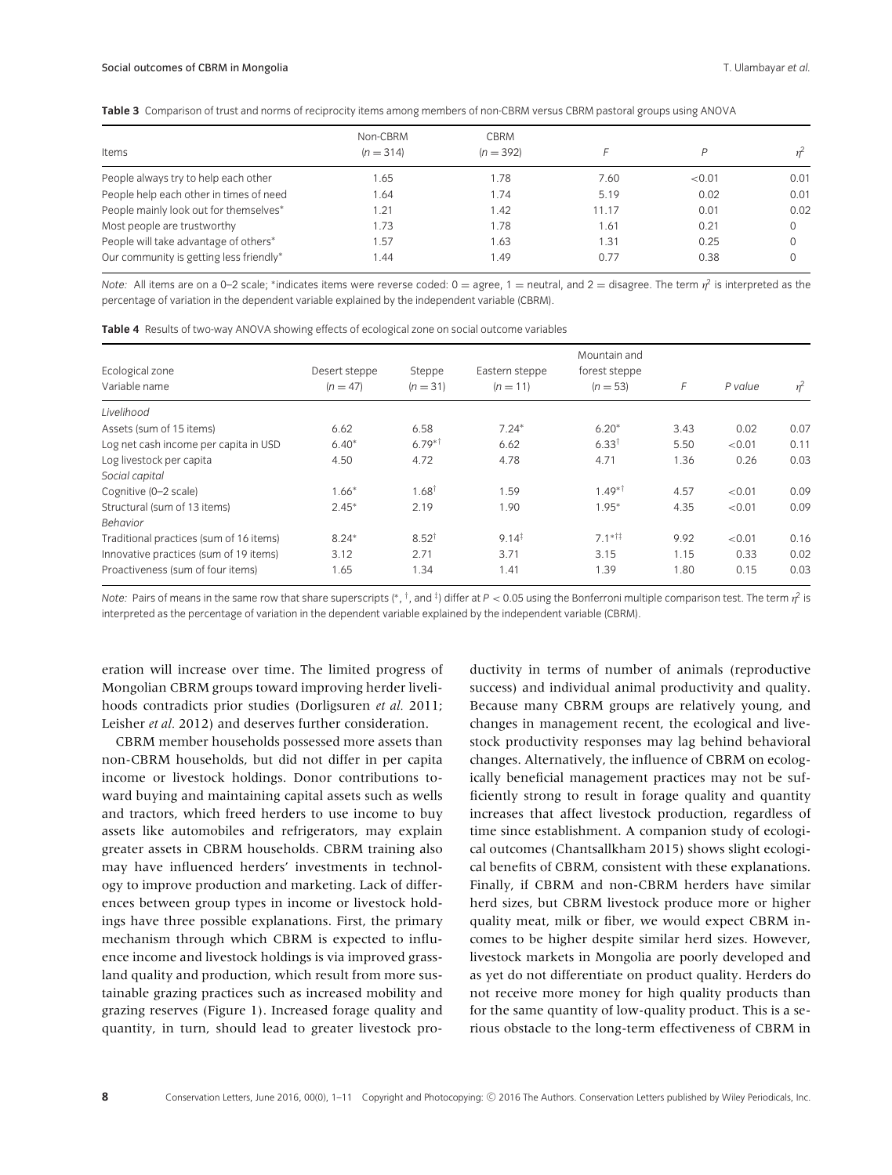#### Social outcomes of CBRM in Mongolia T. Ulambayar *et al.*

|  | Table 3 Comparison of trust and norms of reciprocity items among members of non-CBRM versus CBRM pastoral groups using ANOVA |  |  |  |  |
|--|------------------------------------------------------------------------------------------------------------------------------|--|--|--|--|
|--|------------------------------------------------------------------------------------------------------------------------------|--|--|--|--|

| Items                                          | Non-CBRM<br>$(n = 314)$ | <b>CBRM</b><br>$(n = 392)$ |       |        |      |
|------------------------------------------------|-------------------------|----------------------------|-------|--------|------|
| People always try to help each other           | 1.65                    | 1.78                       | 7.60  | < 0.01 | 0.01 |
| People help each other in times of need        | 1.64                    | 1.74                       | 5.19  | 0.02   | 0.01 |
| People mainly look out for themselves*<br>1.21 |                         | 1.42                       | 11.17 | 0.01   | 0.02 |
| Most people are trustworthy                    | 1.73                    | 1.78                       | 1.61  | 0.21   | 0    |
| People will take advantage of others*          | 1.57                    | 1.63                       | 1.31  | 0.25   |      |
| Our community is getting less friendly*        | 1.44                    | 1.49                       | 0.77  | 0.38   |      |

*Note:* All items are on a 0–2 scale; \*indicates items were reverse coded: 0 = agree, 1 = neutral, and 2 = disagree. The term  $\eta^2$  is interpreted as the percentage of variation in the dependent variable explained by the independent variable (CBRM).

| Ecological zone<br>Variable name        | Desert steppe<br>$(n = 47)$ | Steppe<br>$(n = 31)$ | Eastern steppe<br>$(n = 11)$ | Mountain and<br>forest steppe<br>$(n = 53)$ | F    | P value | $n^2$ |
|-----------------------------------------|-----------------------------|----------------------|------------------------------|---------------------------------------------|------|---------|-------|
| Livelihood                              |                             |                      |                              |                                             |      |         |       |
| Assets (sum of 15 items)                | 6.62                        | 6.58                 | $7.24*$                      | $6.20*$                                     | 3.43 | 0.02    | 0.07  |
| Log net cash income per capita in USD   | $6.40*$                     | $6.79**$             | 6.62                         | $6.33^{\dagger}$                            | 5.50 | < 0.01  | 0.11  |
| Log livestock per capita                | 4.50                        | 4.72                 | 4.78                         | 4.71                                        | 1.36 | 0.26    | 0.03  |
| Social capital                          |                             |                      |                              |                                             |      |         |       |
| Cognitive (0-2 scale)                   | $.66*$                      | $1.68^{\dagger}$     | 1.59                         | $1.49**$                                    | 4.57 | < 0.01  | 0.09  |
| Structural (sum of 13 items)            | $2.45*$                     | 2.19                 | 1.90                         | $1.95*$                                     | 4.35 | < 0.01  | 0.09  |
| Behavior                                |                             |                      |                              |                                             |      |         |       |
| Traditional practices (sum of 16 items) | $8.24*$                     | $8.52^{\dagger}$     | $9.14^{\ddagger}$            | $7.1***$                                    | 9.92 | < 0.01  | 0.16  |
| Innovative practices (sum of 19 items)  | 3.12                        | 2.71                 | 3.71                         | 3.15                                        | 1.15 | 0.33    | 0.02  |
| Proactiveness (sum of four items)       | 1.65                        | 1.34                 | 1.41                         | 1.39                                        | 1.80 | 0.15    | 0.03  |

*Note:* Pairs of means in the same row that share superscripts (∗, *†*, and *‡*) differ at *P* < 0.05 using the Bonferroni multiple comparison test. The term η<sup>2</sup> is interpreted as the percentage of variation in the dependent variable explained by the independent variable (CBRM).

eration will increase over time. The limited progress of Mongolian CBRM groups toward improving herder livelihoods contradicts prior studies (Dorligsuren *et al.* 2011; Leisher *et al.* 2012) and deserves further consideration.

CBRM member households possessed more assets than non-CBRM households, but did not differ in per capita income or livestock holdings. Donor contributions toward buying and maintaining capital assets such as wells and tractors, which freed herders to use income to buy assets like automobiles and refrigerators, may explain greater assets in CBRM households. CBRM training also may have influenced herders' investments in technology to improve production and marketing. Lack of differences between group types in income or livestock holdings have three possible explanations. First, the primary mechanism through which CBRM is expected to influence income and livestock holdings is via improved grassland quality and production, which result from more sustainable grazing practices such as increased mobility and grazing reserves (Figure 1). Increased forage quality and quantity, in turn, should lead to greater livestock productivity in terms of number of animals (reproductive success) and individual animal productivity and quality. Because many CBRM groups are relatively young, and changes in management recent, the ecological and livestock productivity responses may lag behind behavioral changes. Alternatively, the influence of CBRM on ecologically beneficial management practices may not be sufficiently strong to result in forage quality and quantity increases that affect livestock production, regardless of time since establishment. A companion study of ecological outcomes (Chantsallkham 2015) shows slight ecological benefits of CBRM, consistent with these explanations. Finally, if CBRM and non-CBRM herders have similar herd sizes, but CBRM livestock produce more or higher quality meat, milk or fiber, we would expect CBRM incomes to be higher despite similar herd sizes. However, livestock markets in Mongolia are poorly developed and as yet do not differentiate on product quality. Herders do not receive more money for high quality products than for the same quantity of low-quality product. This is a serious obstacle to the long-term effectiveness of CBRM in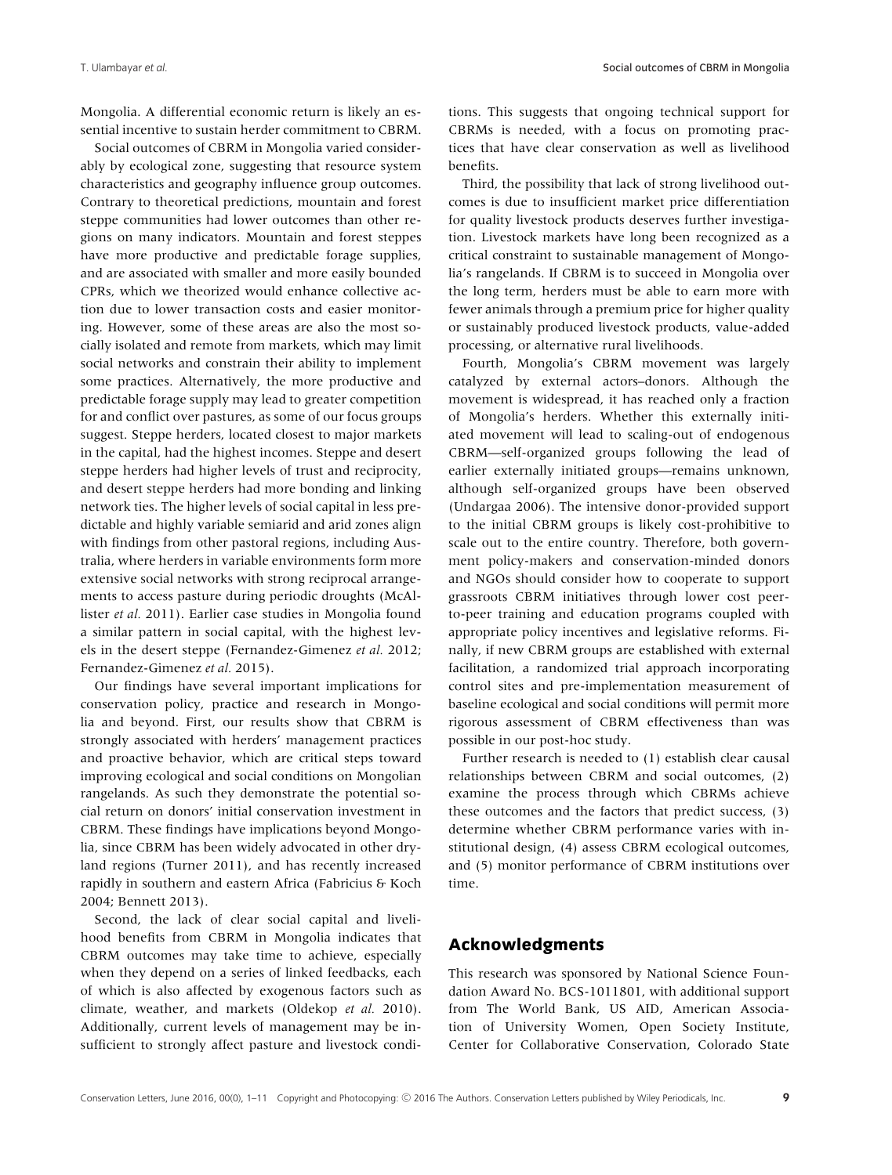Mongolia. A differential economic return is likely an essential incentive to sustain herder commitment to CBRM.

Social outcomes of CBRM in Mongolia varied considerably by ecological zone, suggesting that resource system characteristics and geography influence group outcomes. Contrary to theoretical predictions, mountain and forest steppe communities had lower outcomes than other regions on many indicators. Mountain and forest steppes have more productive and predictable forage supplies, and are associated with smaller and more easily bounded CPRs, which we theorized would enhance collective action due to lower transaction costs and easier monitoring. However, some of these areas are also the most socially isolated and remote from markets, which may limit social networks and constrain their ability to implement some practices. Alternatively, the more productive and predictable forage supply may lead to greater competition for and conflict over pastures, as some of our focus groups suggest. Steppe herders, located closest to major markets in the capital, had the highest incomes. Steppe and desert steppe herders had higher levels of trust and reciprocity, and desert steppe herders had more bonding and linking network ties. The higher levels of social capital in less predictable and highly variable semiarid and arid zones align with findings from other pastoral regions, including Australia, where herders in variable environments form more extensive social networks with strong reciprocal arrangements to access pasture during periodic droughts (McAllister *et al.* 2011). Earlier case studies in Mongolia found a similar pattern in social capital, with the highest levels in the desert steppe (Fernandez-Gimenez *et al.* 2012; Fernandez-Gimenez *et al.* 2015).

Our findings have several important implications for conservation policy, practice and research in Mongolia and beyond. First, our results show that CBRM is strongly associated with herders' management practices and proactive behavior, which are critical steps toward improving ecological and social conditions on Mongolian rangelands. As such they demonstrate the potential social return on donors' initial conservation investment in CBRM. These findings have implications beyond Mongolia, since CBRM has been widely advocated in other dryland regions (Turner 2011), and has recently increased rapidly in southern and eastern Africa (Fabricius & Koch 2004; Bennett 2013).

Second, the lack of clear social capital and livelihood benefits from CBRM in Mongolia indicates that CBRM outcomes may take time to achieve, especially when they depend on a series of linked feedbacks, each of which is also affected by exogenous factors such as climate, weather, and markets (Oldekop *et al.* 2010). Additionally, current levels of management may be insufficient to strongly affect pasture and livestock conditions. This suggests that ongoing technical support for CBRMs is needed, with a focus on promoting practices that have clear conservation as well as livelihood benefits.

Third, the possibility that lack of strong livelihood outcomes is due to insufficient market price differentiation for quality livestock products deserves further investigation. Livestock markets have long been recognized as a critical constraint to sustainable management of Mongolia's rangelands. If CBRM is to succeed in Mongolia over the long term, herders must be able to earn more with fewer animals through a premium price for higher quality or sustainably produced livestock products, value-added processing, or alternative rural livelihoods.

Fourth, Mongolia's CBRM movement was largely catalyzed by external actors–donors. Although the movement is widespread, it has reached only a fraction of Mongolia's herders. Whether this externally initiated movement will lead to scaling-out of endogenous CBRM—self-organized groups following the lead of earlier externally initiated groups—remains unknown, although self-organized groups have been observed (Undargaa 2006). The intensive donor-provided support to the initial CBRM groups is likely cost-prohibitive to scale out to the entire country. Therefore, both government policy-makers and conservation-minded donors and NGOs should consider how to cooperate to support grassroots CBRM initiatives through lower cost peerto-peer training and education programs coupled with appropriate policy incentives and legislative reforms. Finally, if new CBRM groups are established with external facilitation, a randomized trial approach incorporating control sites and pre-implementation measurement of baseline ecological and social conditions will permit more rigorous assessment of CBRM effectiveness than was possible in our post-hoc study.

Further research is needed to (1) establish clear causal relationships between CBRM and social outcomes, (2) examine the process through which CBRMs achieve these outcomes and the factors that predict success, (3) determine whether CBRM performance varies with institutional design, (4) assess CBRM ecological outcomes, and (5) monitor performance of CBRM institutions over time.

#### **Acknowledgments**

This research was sponsored by National Science Foundation Award No. BCS-1011801, with additional support from The World Bank, US AID, American Association of University Women, Open Society Institute, Center for Collaborative Conservation, Colorado State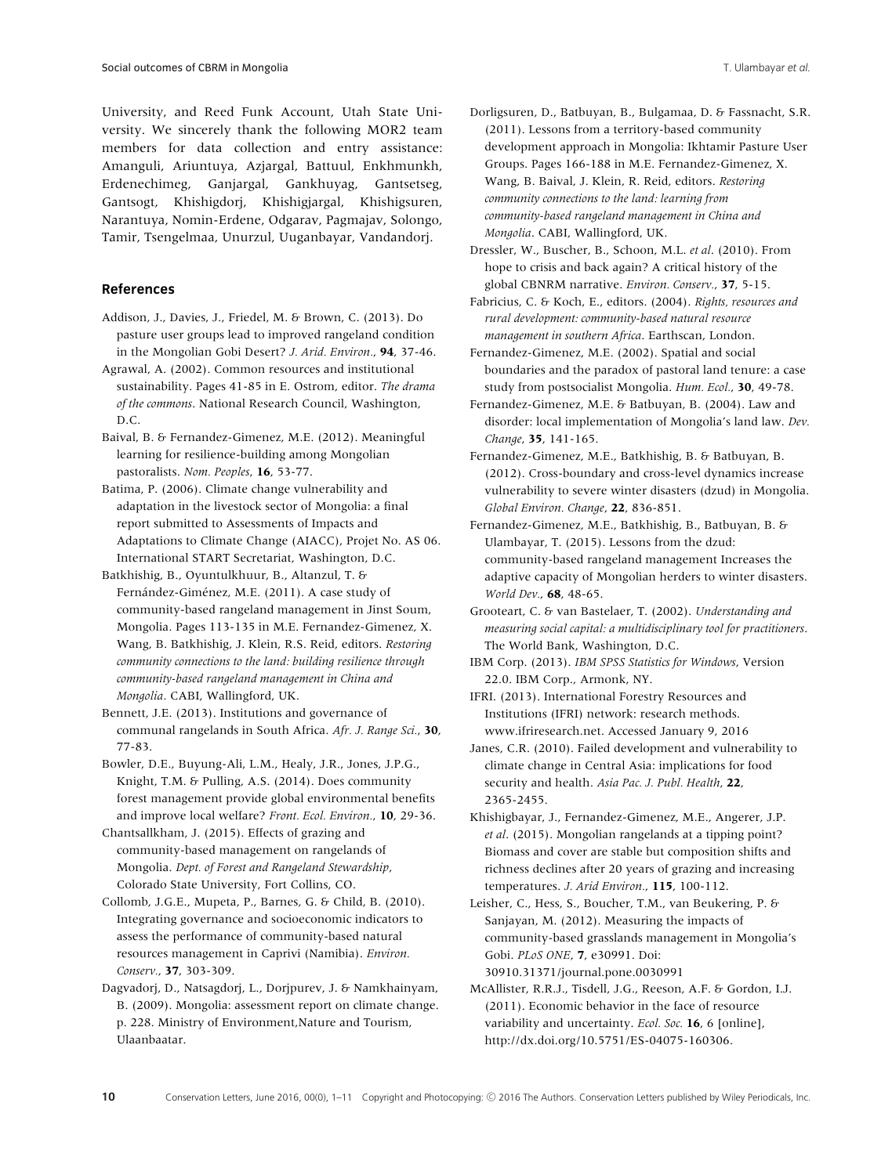University, and Reed Funk Account, Utah State University. We sincerely thank the following MOR2 team members for data collection and entry assistance: Amanguli, Ariuntuya, Azjargal, Battuul, Enkhmunkh, Erdenechimeg, Ganjargal, Gankhuyag, Gantsetseg, Gantsogt, Khishigdorj, Khishigjargal, Khishigsuren, Narantuya, Nomin-Erdene, Odgarav, Pagmajav, Solongo, Tamir, Tsengelmaa, Unurzul, Uuganbayar, Vandandorj.

#### **References**

- Addison, J., Davies, J., Friedel, M. & Brown, C. (2013). Do pasture user groups lead to improved rangeland condition in the Mongolian Gobi Desert? *J. Arid. Environ.*, **94**, 37-46.
- Agrawal, A. (2002). Common resources and institutional sustainability. Pages 41-85 in E. Ostrom, editor. *The drama of the commons*. National Research Council, Washington, D.C.
- Baival, B. & Fernandez-Gimenez, M.E. (2012). Meaningful learning for resilience-building among Mongolian pastoralists. *Nom. Peoples*, **16**, 53-77.
- Batima, P. (2006). Climate change vulnerability and adaptation in the livestock sector of Mongolia: a final report submitted to Assessments of Impacts and Adaptations to Climate Change (AIACC), Projet No. AS 06. International START Secretariat, Washington, D.C.
- Batkhishig, B., Oyuntulkhuur, B., Altanzul, T. & Fernández-Giménez, M.E. (2011). A case study of community-based rangeland management in Jinst Soum, Mongolia. Pages 113-135 in M.E. Fernandez-Gimenez, X. Wang, B. Batkhishig, J. Klein, R.S. Reid, editors. *Restoring community connections to the land: building resilience through community-based rangeland management in China and Mongolia*. CABI, Wallingford, UK.
- Bennett, J.E. (2013). Institutions and governance of communal rangelands in South Africa. *Afr. J. Range Sci.*, **30**, 77-83.
- Bowler, D.E., Buyung-Ali, L.M., Healy, J.R., Jones, J.P.G., Knight, T.M. & Pulling, A.S. (2014). Does community forest management provide global environmental benefits and improve local welfare? *Front. Ecol. Environ.*, **10**, 29-36.
- Chantsallkham, J. (2015). Effects of grazing and community-based management on rangelands of Mongolia. *Dept. of Forest and Rangeland Stewardship*, Colorado State University, Fort Collins, CO.
- Collomb, J.G.E., Mupeta, P., Barnes, G. & Child, B. (2010). Integrating governance and socioeconomic indicators to assess the performance of community-based natural resources management in Caprivi (Namibia). *Environ. Conserv.*, **37**, 303-309.
- Dagvadorj, D., Natsagdorj, L., Dorjpurev, J. & Namkhainyam, B. (2009). Mongolia: assessment report on climate change. p. 228. Ministry of Environment,Nature and Tourism, Ulaanbaatar.
- Dorligsuren, D., Batbuyan, B., Bulgamaa, D. & Fassnacht, S.R. (2011). Lessons from a territory-based community development approach in Mongolia: Ikhtamir Pasture User Groups. Pages 166-188 in M.E. Fernandez-Gimenez, X. Wang, B. Baival, J. Klein, R. Reid, editors. *Restoring community connections to the land: learning from community-based rangeland management in China and Mongolia*. CABI, Wallingford, UK.
- Dressler, W., Buscher, B., Schoon, M.L. *et al*. (2010). From hope to crisis and back again? A critical history of the global CBNRM narrative. *Environ. Conserv.*, **37**, 5-15.
- Fabricius, C. & Koch, E., editors. (2004). *Rights, resources and rural development: community-based natural resource management in southern Africa*. Earthscan, London.
- Fernandez-Gimenez, M.E. (2002). Spatial and social boundaries and the paradox of pastoral land tenure: a case study from postsocialist Mongolia. *Hum. Ecol.*, **30**, 49-78.
- Fernandez-Gimenez, M.E. & Batbuyan, B. (2004). Law and disorder: local implementation of Mongolia's land law. *Dev. Change*, **35**, 141-165.
- Fernandez-Gimenez, M.E., Batkhishig, B. & Batbuyan, B. (2012). Cross-boundary and cross-level dynamics increase vulnerability to severe winter disasters (dzud) in Mongolia. *Global Environ. Change*, **22**, 836-851.
- Fernandez-Gimenez, M.E., Batkhishig, B., Batbuyan, B. & Ulambayar, T. (2015). Lessons from the dzud: community-based rangeland management Increases the adaptive capacity of Mongolian herders to winter disasters. *World Dev.*, **68**, 48-65.
- Grooteart, C. & van Bastelaer, T. (2002). *Understanding and measuring social capital: a multidisciplinary tool for practitioners*. The World Bank, Washington, D.C.
- IBM Corp. (2013). *IBM SPSS Statistics for Windows*, Version 22.0. IBM Corp., Armonk, NY.
- IFRI. (2013). International Forestry Resources and Institutions (IFRI) network: research methods. www.ifriresearch.net. Accessed January 9, 2016
- Janes, C.R. (2010). Failed development and vulnerability to climate change in Central Asia: implications for food security and health. *Asia Pac. J. Publ. Health*, **22**, 2365-2455.
- Khishigbayar, J., Fernandez-Gimenez, M.E., Angerer, J.P. *et al*. (2015). Mongolian rangelands at a tipping point? Biomass and cover are stable but composition shifts and richness declines after 20 years of grazing and increasing temperatures. *J. Arid Environ.*, **115**, 100-112.
- Leisher, C., Hess, S., Boucher, T.M., van Beukering, P. & Sanjayan, M. (2012). Measuring the impacts of community-based grasslands management in Mongolia's Gobi. *PLoS ONE*, **7**, e30991. Doi: 30910.31371/journal.pone.0030991
- McAllister, R.R.J., Tisdell, J.G., Reeson, A.F. & Gordon, I.J. (2011). Economic behavior in the face of resource variability and uncertainty. *Ecol. Soc.* **16**, 6 [online], http://dx.doi.org/10.5751/ES-04075-160306.